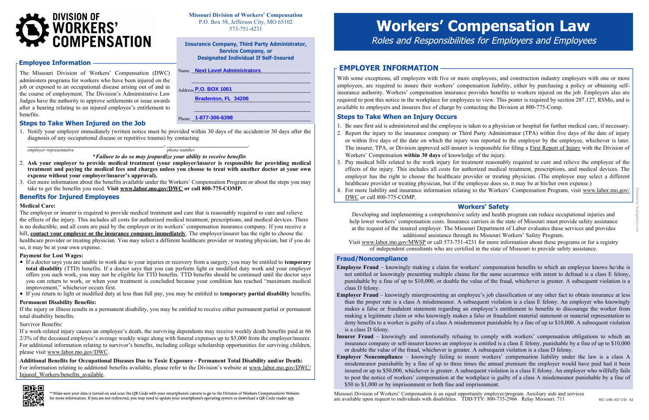With some exceptions, all employers with five or more employees, and construction industry employers with one or more employees, are required to insure their workers' compensation liability, either by purchasing a policy or obtaining selfinsurance authority. Workers' compensation insurance provides benefits to workers injured on the job. Employers also are required to post this notice in the workplace for employees to view. This poster is required by section 287.127, RSMo, and is available to employers and insurers free of charge by contacting the Division at 800-775-Comp.

# Steps to Take When an Injury Occurs

1. Be sure first aid is administered and the employee is taken to a physician or hospital for further medical care, if necessary. 2. Report the injury to the insurance company or Third Party Administrator (TPA) within five days of the date of injury or within five days of the date on which the injury was reported to the employer by the employee, whichever is later. The insurer, TPA, or Division approved self-insurer is responsible for filing a First Report of Injury with the Division of

3. Pay medical bills related to the work injury for treatment reasonably required to cure and relieve the employee of the effects of the injury. This includes all costs for authorized medical treatment, prescriptions, and medical devices. The employer has the right to choose the healthcare provider or treating physician. (The employee may select a different

- 
- Workers' Compensation within 30 days of knowledge of the injury.
- healthcare provider or treating physician, but if the employee does so, it may be at his/her own expense.)
- DWC or call 800-775-COMP.

4. For more liability and insurance information relating to the Workers' Compensation Program, visit www.labor.mo.gov/

Missouri Division of Workers' Compensation is an equal opportunity employer/program. Auxiliary aids and services are available upon request to individuals with disabilities. TDD/TTY: 800-735-2966 Relay Missouri: 711

Phone **1-877-306-6398** 

The Missouri Division of Workers' Compensation (DWC) administers programs for workers who have been injured on the job or exposed to an occupational disease arising out of and in the course of employment. The Division's Administrative Law Judges have the authority to approve settlements or issue awards after a hearing relating to an injured employee's entitlement to benefits.

- If a doctor says you are unable to work due to your injuries or recovery from a surgery, you may be entitled to temporary total disability (TTD) benefits. If a doctor says that you can perform light or modified duty work and your employer offers you such work, you may not be eligible for TTD benefits. TTD benefits should be continued until the doctor says you can return to work, or when your treatment is concluded because your condition has reached "maximum medical improvement," whichever occurs first.
- If you return to light or modified duty at less than full pay, you may be entitled to temporary partial disability benefits.

## Steps to Take When Injured on the Job

1. Notify your employer immediately (written notice must be provided within 30 days of the accident/or 30 days after the diagnosis of any occupational disease or repetitive trauma) by contacting

 $\qquad \qquad , \qquad \qquad .$  $\frac{1}{\text{m}}$  employer representative phone number

\*Failure to do so may jeopardize your ability to receive benefits

\_\_\_\_\_\_\_\_\_\_\_\_\_\_\_\_\_\_\_\_\_\_\_\_\_\_\_\_\_\_\_\_\_\_\_\_\_\_\_\_\_\_\_\_ **Bradenton, FL 34206** $\mathcal{L}_\text{max}$  , and the set of the set of the set of the set of the set of the set of the set of the set of the set of the set of the set of the set of the set of the set of the set of the set of the set of the set of the

- 2. Ask your employer to provide medical treatment (your employer/insurer is responsible for providing medical treatment and paying the medical fees and charges unless you choose to treat with another doctor at your own expense without your employer/insurer's approval).
- 3. Get more information about the benefits available under the Workers' Compensation Program or about the steps you may take to get the benefits you need. Visit www.labor.mo.gov/DWC or call 800-775-COMP.

- class D felony.
- is a class D felony.
- or double the value of the fraud, whichever is greater. A subsequent violation is a class D felony.
- \$50 to \$1,000 or by imprisonment or both fine and imprisonment.

# Benefits for Injured Employees

#### Medical Care:

The employer or insurer is required to provide medical treatment and care that is reasonably required to cure and relieve the effects of the injury. This includes all costs for authorized medical treatment, prescriptions, and medical devices. There is no deductible, and all costs are paid by the employer or its workers' compensation insurance company. If you receive a bill, contact your employer or the insurance company immediately. The employer/insurer has the right to choose the healthcare provider or treating physician. You may select a different healthcare provider or treating physician, but if you do so, it may be at your own expense.

#### Payment for Lost Wages:

### Permanent Disability Benefits:

If the injury or illness results in a permanent disability, you may be entitled to receive either permanent partial or permanent total disability benefits.

### Survivor Benefits:

If a work-related injury causes an employee's death, the surviving dependents may receive weekly death benefits paid at 66 2/3% of the deceased employee's average weekly wage along with funeral expenses up to \$5,000 from the employer/insurer. For additional information relating to survivor's benefits, including college scholarship opportunities for surviving children, please visit www.labor.mo.gov/DWC.

Additional Benefits for Occupational Diseases Due to Toxic Exposure - Permanent Total Disability and/or Death: For information relating to additional benefits available, please refer to the Division's website at www.labor.mo.gov/DWC/ Injured\_Workers/benefits\_available.



\*\*Make sure your data is turned on and scan the QR Code with your smartphone's camera to go to the Division of Workers Compensation's Website for more information. If you are not redirected, you may need to update your smartphone's operating system or download a QR Code reader app.

# **EMPLOYER INFORMATION -**

Missouri Division of Workers' Compensation P.O. Box 58, Jefferson City, MO 65102 573-751-4231



#### Employee Information

Insurance Company, Third Party Administrator, Service Company, or Designated Individual If Self-Insured

Name Land Land Level Administrators **Next Level Administrators** 

\_\_\_\_\_\_\_\_\_\_\_\_\_\_\_\_\_\_\_\_\_\_\_\_\_\_\_\_\_\_\_\_\_\_\_\_\_\_\_\_\_\_\_\_\_

# Fraud/Noncompliance

Employee Fraud – knowingly making a claim for workers' compensation benefits to which an employee knows he/she is not entitled or knowingly presenting multiple claims for the same occurrence with intent to defraud is a class E felony, punishable by a fine of up to \$10,000, or double the value of the fraud, whichever is greater. A subsequent violation is a

Employer Fraud – knowingly misrepresenting an employee's job classification or any other fact to obtain insurance at less than the proper rate is a class A misdemeanor. A subsequent violation is a class E felony. An employer who knowingly makes a false or fraudulent statement regarding an employee's entitlement to benefits to discourage the worker from making a legitimate claim or who knowingly makes a false or fraudulent material statement or material representation to deny benefits to a worker is guilty of a class A misdemeanor punishable by a fine of up to \$10,000. A subsequent violation

Insurer Fraud – knowingly and intentionally refusing to comply with workers' compensation obligations to which an insurance company or self-insurer knows an employee is entitled is a class E felony, punishable by a fine of up to \$10,000

Address\_\_\_\_\_\_\_\_\_\_\_\_\_\_\_\_\_\_\_\_\_\_\_\_\_\_\_\_\_\_\_\_\_\_\_\_\_\_\_\_\_\_\_\_ **P.O. BOX 1061**

Employer Noncompliance – knowingly failing to insure workers' compensation liability under the law is a class A misdemeanor punishable by a fine of up to three times the annual premium the employer would have paid had it been insured or up to \$50,000, whichever is greater. A subsequent violation is a class E felony. An employer who willfully fails to post the notice of workers' compensation at the workplace is guilty of a class A misdemeanor punishable by a fine of

#### Workers' Safety

Developing and implementing a comprehensive safety and health program can reduce occupational injuries and help lower workers' compensation costs. Insurance carriers in the state of Missouri must provide safety assistance at the request of the insured employer. The Missouri Department of Labor evaluates these services and provides additional assistance through its Missouri Workers' Safety Program.

Visit www.labor.mo.gov/MWSP or call 573-751-4231 for more information about these programs or for a registry of independent consultants who are certified in the state of Missouri to provide safety assistance.